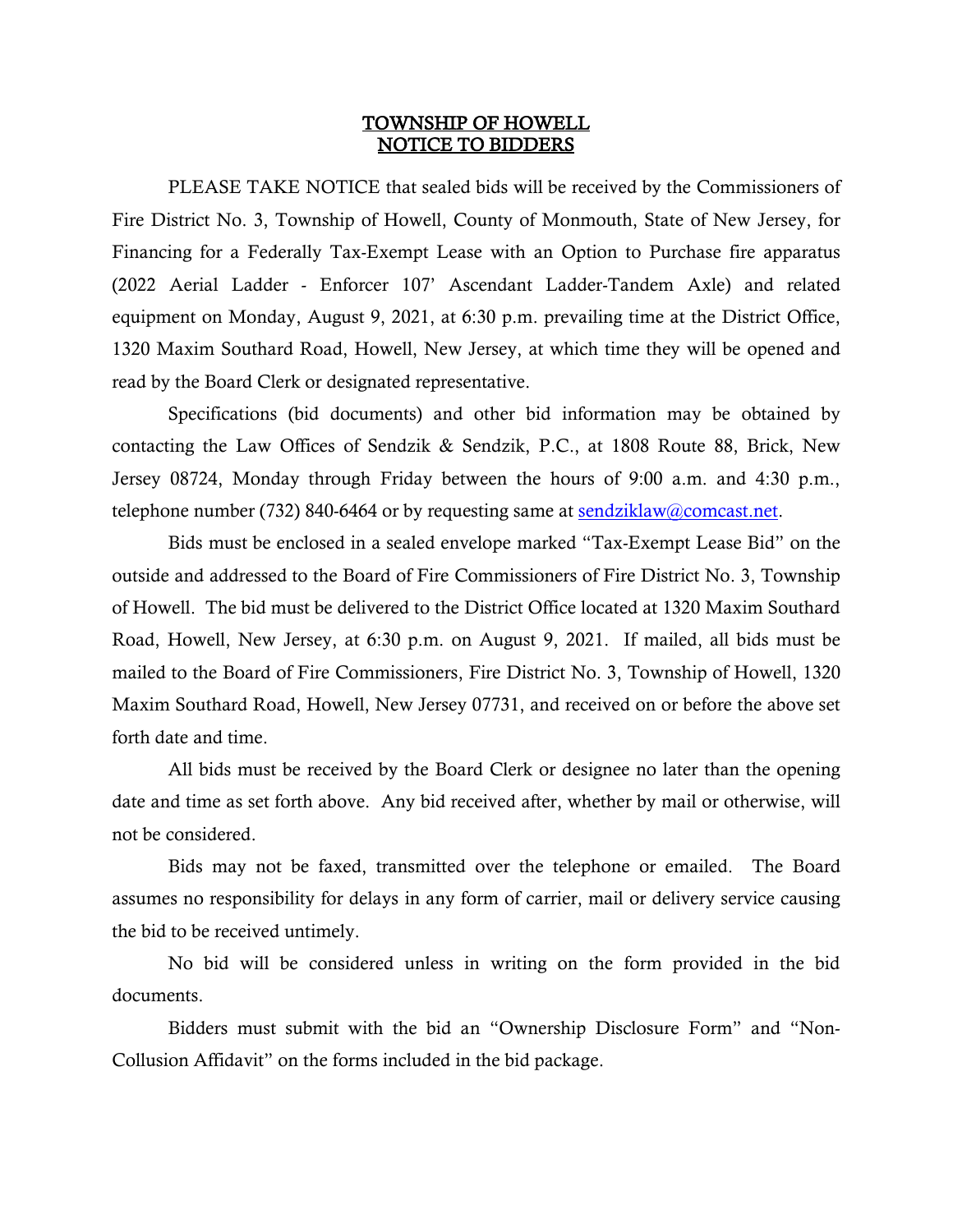## TOWNSHIP OF HOWELL NOTICE TO BIDDERS

 PLEASE TAKE NOTICE that sealed bids will be received by the Commissioners of Fire District No. 3, Township of Howell, County of Monmouth, State of New Jersey, for Financing for a Federally Tax-Exempt Lease with an Option to Purchase fire apparatus (2022 Aerial Ladder - Enforcer 107' Ascendant Ladder-Tandem Axle) and related equipment on Monday, August 9, 2021, at 6:30 p.m. prevailing time at the District Office, 1320 Maxim Southard Road, Howell, New Jersey, at which time they will be opened and read by the Board Clerk or designated representative.

Specifications (bid documents) and other bid information may be obtained by contacting the Law Offices of Sendzik & Sendzik, P.C., at 1808 Route 88, Brick, New Jersey 08724, Monday through Friday between the hours of 9:00 a.m. and 4:30 p.m., telephone number (732) 840-6464 or by requesting same at  $\frac{\text{sendziklaw@connect.net}}{\text{sendziklaw@connect.net}}$ .

Bids must be enclosed in a sealed envelope marked "Tax-Exempt Lease Bid" on the outside and addressed to the Board of Fire Commissioners of Fire District No. 3, Township of Howell. The bid must be delivered to the District Office located at 1320 Maxim Southard Road, Howell, New Jersey, at 6:30 p.m. on August 9, 2021. If mailed, all bids must be mailed to the Board of Fire Commissioners, Fire District No. 3, Township of Howell, 1320 Maxim Southard Road, Howell, New Jersey 07731, and received on or before the above set forth date and time.

All bids must be received by the Board Clerk or designee no later than the opening date and time as set forth above. Any bid received after, whether by mail or otherwise, will not be considered.

Bids may not be faxed, transmitted over the telephone or emailed. The Board assumes no responsibility for delays in any form of carrier, mail or delivery service causing the bid to be received untimely.

No bid will be considered unless in writing on the form provided in the bid documents.

Bidders must submit with the bid an "Ownership Disclosure Form" and "Non-Collusion Affidavit" on the forms included in the bid package.